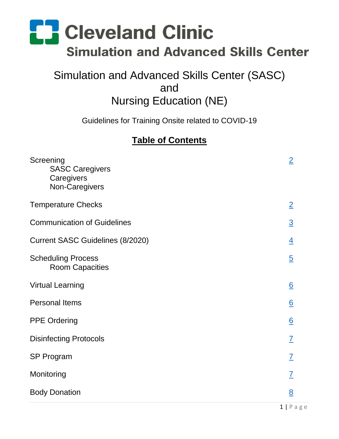### Simulation and Advanced Skills Center (SASC) and Nursing Education (NE)

Guidelines for Training Onsite related to COVID-19

### **Table of Contents**

| Screening<br><b>SASC Caregivers</b><br>Caregivers<br>Non-Caregivers | $\overline{2}$  |
|---------------------------------------------------------------------|-----------------|
| <b>Temperature Checks</b>                                           | $\overline{2}$  |
| <b>Communication of Guidelines</b>                                  | $\overline{3}$  |
| <b>Current SASC Guidelines (8/2020)</b>                             | $\overline{4}$  |
| <b>Scheduling Process</b><br><b>Room Capacities</b>                 | $\overline{5}$  |
| <b>Virtual Learning</b>                                             | $\underline{6}$ |
| <b>Personal Items</b>                                               | $\underline{6}$ |
| <b>PPE Ordering</b>                                                 | 6               |
| <b>Disinfecting Protocols</b>                                       | $\overline{I}$  |
| <b>SP Program</b>                                                   | $\overline{I}$  |
| Monitoring                                                          | $\overline{I}$  |
| <b>Body Donation</b>                                                | 8               |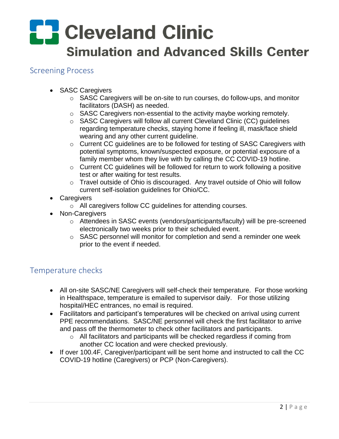#### <span id="page-1-0"></span>Screening Process

- SASC Caregivers
	- o SASC Caregivers will be on-site to run courses, do follow-ups, and monitor facilitators (DASH) as needed.
	- o SASC Caregivers non-essential to the activity maybe working remotely.
	- o SASC Caregivers will follow all current Cleveland Clinic (CC) guidelines regarding temperature checks, staying home if feeling ill, mask/face shield wearing and any other current guideline.
	- o Current CC guidelines are to be followed for testing of SASC Caregivers with potential symptoms, known/suspected exposure, or potential exposure of a family member whom they live with by calling the CC COVID-19 hotline.
	- o Current CC guidelines will be followed for return to work following a positive test or after waiting for test results.
	- o Travel outside of Ohio is discouraged. Any travel outside of Ohio will follow current self-isolation guidelines for Ohio/CC.
- Caregivers
	- o All caregivers follow CC guidelines for attending courses.
- Non-Caregivers
	- o Attendees in SASC events (vendors/participants/faculty) will be pre-screened electronically two weeks prior to their scheduled event.
	- o SASC personnel will monitor for completion and send a reminder one week prior to the event if needed.

#### <span id="page-1-1"></span>Temperature checks

- All on-site SASC/NE Caregivers will self-check their temperature. For those working in Healthspace, temperature is emailed to supervisor daily. For those utilizing hospital/HEC entrances, no email is required.
- Facilitators and participant's temperatures will be checked on arrival using current PPE recommendations. SASC/NE personnel will check the first facilitator to arrive and pass off the thermometer to check other facilitators and participants.
	- o All facilitators and participants will be checked regardless if coming from another CC location and were checked previously.
- If over 100.4F, Caregiver/participant will be sent home and instructed to call the CC COVID-19 hotline (Caregivers) or PCP (Non-Caregivers).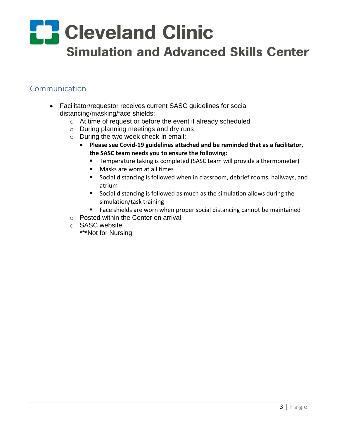#### <span id="page-2-0"></span>Communication

- Facilitator/requestor receives current SASC guidelines for social distancing/masking/face shields:
	- o At time of request or before the event if already scheduled
	- o During planning meetings and dry runs
	- o During the two week check-in email:
		- **Please see Covid-19 guidelines attached and be reminded that as a facilitator, the SASC team needs you to ensure the following:**
			- **Temperature taking is completed (SASC team will provide a thermometer)**
			- **Masks are worn at all times**
			- Social distancing is followed when in classroom, debrief rooms, hallways, and atrium
			- Social distancing is followed as much as the simulation allows during the simulation/task training
			- **Face shields are worn when proper social distancing cannot be maintained**
	- o Posted within the Center on arrival
	- o SASC website
		- \*\*\*Not for Nursing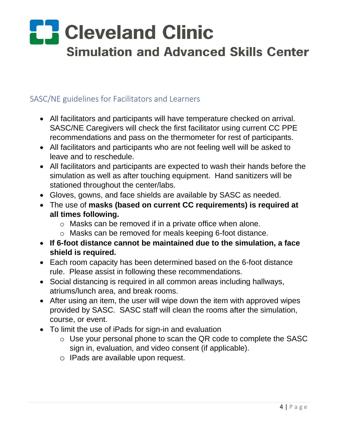#### <span id="page-3-0"></span>SASC/NE guidelines for Facilitators and Learners

- All facilitators and participants will have temperature checked on arrival. SASC/NE Caregivers will check the first facilitator using current CC PPE recommendations and pass on the thermometer for rest of participants.
- All facilitators and participants who are not feeling well will be asked to leave and to reschedule.
- All facilitators and participants are expected to wash their hands before the simulation as well as after touching equipment. Hand sanitizers will be stationed throughout the center/labs.
- Gloves, gowns, and face shields are available by SASC as needed.
- The use of **masks (based on current CC requirements) is required at all times following.** 
	- o Masks can be removed if in a private office when alone.
	- o Masks can be removed for meals keeping 6-foot distance.
- **If 6-foot distance cannot be maintained due to the simulation, a face shield is required.**
- Each room capacity has been determined based on the 6-foot distance rule. Please assist in following these recommendations.
- Social distancing is required in all common areas including hallways, atriums/lunch area, and break rooms.
- After using an item, the user will wipe down the item with approved wipes provided by SASC. SASC staff will clean the rooms after the simulation, course, or event.
- To limit the use of iPads for sign-in and evaluation
	- o Use your personal phone to scan the QR code to complete the SASC sign in, evaluation, and video consent (if applicable).
	- o IPads are available upon request.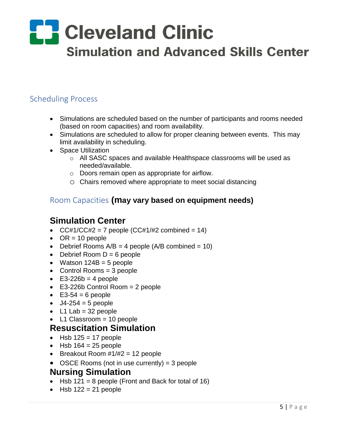#### <span id="page-4-0"></span>Scheduling Process

- Simulations are scheduled based on the number of participants and rooms needed (based on room capacities) and room availability.
- Simulations are scheduled to allow for proper cleaning between events. This may limit availability in scheduling.
- Space Utilization
	- o All SASC spaces and available Healthspace classrooms will be used as needed/available.
	- o Doors remain open as appropriate for airflow.
	- o Chairs removed where appropriate to meet social distancing

#### Room Capacities **(may vary based on equipment needs)**

#### **Simulation Center**

- CC#1/CC#2 = 7 people (CC#1/#2 combined = 14)
- $OR = 10$  people
- Debrief Rooms  $A/B = 4$  people ( $A/B$  combined = 10)
- $\bullet$  Debrief Room D = 6 people
- Watson  $124B = 5$  people
- Control Rooms = 3 people
- $\textdegree$  E3-226b = 4 people
- E3-226b Control Room = 2 people
- $\bullet$  E3-54 = 6 people
- $J4-254 = 5$  people
- $\bullet$  L1 Lab = 32 people
- L1 Classroom = 10 people

#### **Resuscitation Simulation**

- $\bullet$  Hsb 125 = 17 people
- $-Hsb 164 = 25$  people
- **Breakout Room**  $\#1/\#2 = 12$  **people**
- OSCE Rooms (not in use currently) = 3 people

#### **Nursing Simulation**

- $\bullet$  Hsb 121 = 8 people (Front and Back for total of 16)
- $\bullet$  Hsb 122 = 21 people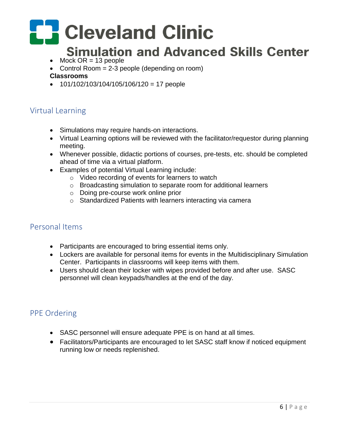# **E.** Cleveland Clinic

### **Simulation and Advanced Skills Center**

- $\bullet$  Mock OR = 13 people
- Control Room  $= 2-3$  people (depending on room)

#### **Classrooms**

 $\bullet$  101/102/103/104/105/106/120 = 17 people

#### <span id="page-5-0"></span>Virtual Learning

- Simulations may require hands-on interactions.
- Virtual Learning options will be reviewed with the facilitator/requestor during planning meeting.
- Whenever possible, didactic portions of courses, pre-tests, etc. should be completed ahead of time via a virtual platform.
- Examples of potential Virtual Learning include:
	- o Video recording of events for learners to watch
	- o Broadcasting simulation to separate room for additional learners
	- o Doing pre-course work online prior
	- o Standardized Patients with learners interacting via camera

#### <span id="page-5-1"></span>Personal Items

- Participants are encouraged to bring essential items only.
- Lockers are available for personal items for events in the Multidisciplinary Simulation Center. Participants in classrooms will keep items with them.
- Users should clean their locker with wipes provided before and after use. SASC personnel will clean keypads/handles at the end of the day.

#### <span id="page-5-2"></span>PPE Ordering

- SASC personnel will ensure adequate PPE is on hand at all times.
- Facilitators/Participants are encouraged to let SASC staff know if noticed equipment running low or needs replenished.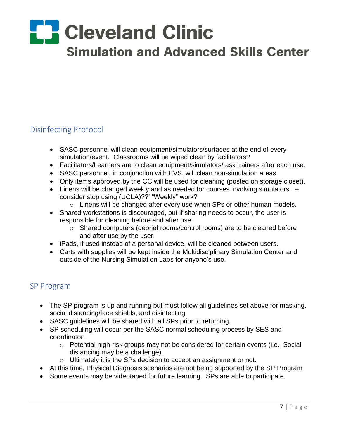#### <span id="page-6-0"></span>Disinfecting Protocol

- SASC personnel will clean equipment/simulators/surfaces at the end of every simulation/event. Classrooms will be wiped clean by facilitators?
- Facilitators/Learners are to clean equipment/simulators/task trainers after each use.
- SASC personnel, in conjunction with EVS, will clean non-simulation areas.
- Only items approved by the CC will be used for cleaning (posted on storage closet).
- Linens will be changed weekly and as needed for courses involving simulators.  $$ consider stop using (UCLA)??' "Weekly" work?
	- o Linens will be changed after every use when SPs or other human models.
- Shared workstations is discouraged, but if sharing needs to occur, the user is responsible for cleaning before and after use.
	- o Shared computers (debrief rooms/control rooms) are to be cleaned before and after use by the user.
- iPads, if used instead of a personal device, will be cleaned between users.
- Carts with supplies will be kept inside the Multidisciplinary Simulation Center and outside of the Nursing Simulation Labs for anyone's use.

#### <span id="page-6-1"></span>SP Program

- The SP program is up and running but must follow all guidelines set above for masking, social distancing/face shields, and disinfecting.
- SASC guidelines will be shared with all SPs prior to returning.
- SP scheduling will occur per the SASC normal scheduling process by SES and coordinator.
	- o Potential high-risk groups may not be considered for certain events (i.e. Social distancing may be a challenge).
	- o Ultimately it is the SPs decision to accept an assignment or not.
- At this time, Physical Diagnosis scenarios are not being supported by the SP Program
- Some events may be videotaped for future learning. SPs are able to participate.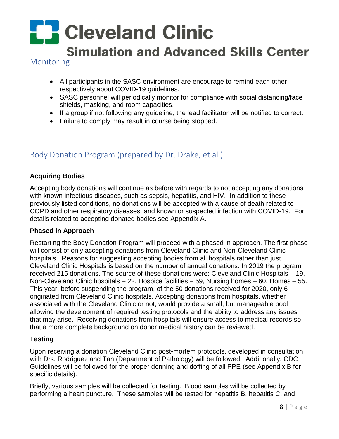# **CR** Cleveland Clinic

### **Simulation and Advanced Skills Center**

<span id="page-7-0"></span>Monitoring

- All participants in the SASC environment are encourage to remind each other respectively about COVID-19 guidelines.
- SASC personnel will periodically monitor for compliance with social distancing/face shields, masking, and room capacities.
- If a group if not following any guideline, the lead facilitator will be notified to correct.
- Failure to comply may result in course being stopped.

#### <span id="page-7-1"></span>Body Donation Program (prepared by Dr. Drake, et al.)

#### **Acquiring Bodies**

Accepting body donations will continue as before with regards to not accepting any donations with known infectious diseases, such as sepsis, hepatitis, and HIV. In addition to these previously listed conditions, no donations will be accepted with a cause of death related to COPD and other respiratory diseases, and known or suspected infection with COVID-19. For details related to accepting donated bodies see Appendix A.

#### **Phased in Approach**

Restarting the Body Donation Program will proceed with a phased in approach. The first phase will consist of only accepting donations from Cleveland Clinic and Non-Cleveland Clinic hospitals. Reasons for suggesting accepting bodies from all hospitals rather than just Cleveland Clinic Hospitals is based on the number of annual donations. In 2019 the program received 215 donations. The source of these donations were: Cleveland Clinic Hospitals – 19, Non-Cleveland Clinic hospitals – 22, Hospice facilities – 59, Nursing homes – 60, Homes – 55. This year, before suspending the program, of the 50 donations received for 2020, only 6 originated from Cleveland Clinic hospitals. Accepting donations from hospitals, whether associated with the Cleveland Clinic or not, would provide a small, but manageable pool allowing the development of required testing protocols and the ability to address any issues that may arise. Receiving donations from hospitals will ensure access to medical records so that a more complete background on donor medical history can be reviewed.

#### **Testing**

Upon receiving a donation Cleveland Clinic post-mortem protocols, developed in consultation with Drs. Rodriguez and Tan (Department of Pathology) will be followed. Additionally, CDC Guidelines will be followed for the proper donning and doffing of all PPE (see Appendix B for specific details).

Briefly, various samples will be collected for testing. Blood samples will be collected by performing a heart puncture. These samples will be tested for hepatitis B, hepatitis C, and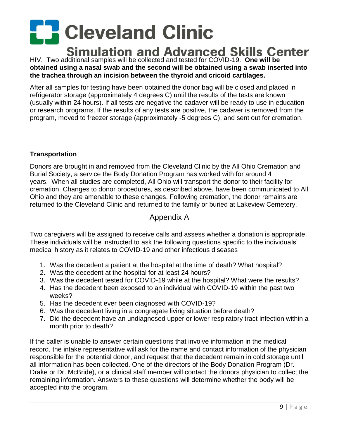HIV. Two additional samples will be collected and tested for COVID-19. **One will be obtained using a nasal swab and the second will be obtained using a swab inserted into the trachea through an incision between the thyroid and cricoid cartilages.**

After all samples for testing have been obtained the donor bag will be closed and placed in refrigerator storage (approximately 4 degrees C) until the results of the tests are known (usually within 24 hours). If all tests are negative the cadaver will be ready to use in education or research programs. If the results of any tests are positive, the cadaver is removed from the program, moved to freezer storage (approximately -5 degrees C), and sent out for cremation.

#### **Transportation**

Donors are brought in and removed from the Cleveland Clinic by the All Ohio Cremation and Burial Society, a service the Body Donation Program has worked with for around 4 years. When all studies are completed, All Ohio will transport the donor to their facility for cremation. Changes to donor procedures, as described above, have been communicated to All Ohio and they are amenable to these changes. Following cremation, the donor remains are returned to the Cleveland Clinic and returned to the family or buried at Lakeview Cemetery.

#### Appendix A

Two caregivers will be assigned to receive calls and assess whether a donation is appropriate. These individuals will be instructed to ask the following questions specific to the individuals' medical history as it relates to COVID-19 and other infectious diseases

- 1. Was the decedent a patient at the hospital at the time of death? What hospital?
- 2. Was the decedent at the hospital for at least 24 hours?
- 3. Was the decedent tested for COVID-19 while at the hospital? What were the results?
- 4. Has the decedent been exposed to an individual with COVID-19 within the past two weeks?
- 5. Has the decedent ever been diagnosed with COVID-19?
- 6. Was the decedent living in a congregate living situation before death?
- 7. Did the decedent have an undiagnosed upper or lower respiratory tract infection within a month prior to death?

If the caller is unable to answer certain questions that involve information in the medical record, the intake representative will ask for the name and contact information of the physician responsible for the potential donor, and request that the decedent remain in cold storage until all information has been collected. One of the directors of the Body Donation Program (Dr. Drake or Dr. McBride), or a clinical staff member will contact the donors physician to collect the remaining information. Answers to these questions will determine whether the body will be accepted into the program.